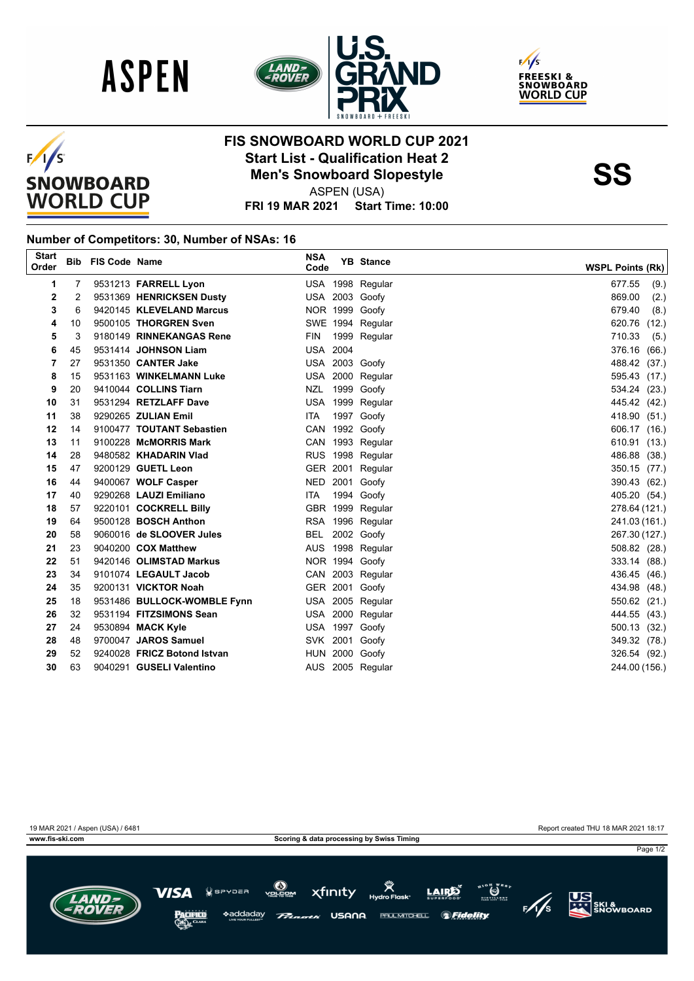







## **FIS SNOWBOARD WORLD CUP 2021 Start List - Qualification Heat 2**<br>
Men's Snowboard Slopestyle<br>
ASPEN (USA)

ASPEN (USA)

**FRI 19 MAR 2021 Start Time: 10:00**

## **Number of Competitors: 30, Number of NSAs: 16**

| <b>Start</b><br>Order |    | <b>Bib FIS Code Name</b> |                             | <b>NSA</b><br>Code | <b>YB</b> Stance | <b>WSPL Points (Rk)</b> |
|-----------------------|----|--------------------------|-----------------------------|--------------------|------------------|-------------------------|
| 1                     | 7  |                          | 9531213 FARRELL Lyon        |                    | USA 1998 Regular | 677.55<br>(9.)          |
| 2                     | 2  |                          | 9531369 HENRICKSEN Dusty    |                    | USA 2003 Goofy   | 869.00<br>(2.)          |
| 3                     | 6  |                          | 9420145 KLEVELAND Marcus    |                    | NOR 1999 Goofy   | 679.40<br>(8.)          |
| 4                     | 10 |                          | 9500105 THORGREN Sven       |                    | SWE 1994 Regular | 620.76<br>(12.)         |
| 5                     | 3  |                          | 9180149 RINNEKANGAS Rene    | FIN                | 1999 Regular     | 710.33<br>(5.)          |
| 6                     | 45 |                          | 9531414 JOHNSON Liam        | <b>USA 2004</b>    |                  | 376.16<br>(66.)         |
| 7                     | 27 |                          | 9531350 CANTER Jake         |                    | USA 2003 Goofy   | 488.42 (37.)            |
| 8                     | 15 |                          | 9531163 WINKELMANN Luke     |                    | USA 2000 Regular | 595.43 (17.)            |
| 9                     | 20 |                          | 9410044 COLLINS Tiarn       |                    | NZL 1999 Goofy   | 534.24 (23.)            |
| 10                    | 31 |                          | 9531294 RETZLAFF Dave       |                    | USA 1999 Regular | 445.42 (42.)            |
| 11                    | 38 |                          | 9290265 ZULIAN Emil         | ITA.               | 1997 Goofy       | 418.90 (51.)            |
| 12                    | 14 |                          | 9100477 TOUTANT Sebastien   |                    | CAN 1992 Goofy   | 606.17 (16.)            |
| 13                    | 11 |                          | 9100228 McMORRIS Mark       |                    | CAN 1993 Regular | 610.91 (13.)            |
| 14                    | 28 |                          | 9480582 KHADARIN Vlad       |                    | RUS 1998 Regular | 486.88 (38.)            |
| 15                    | 47 |                          | 9200129 GUETL Leon          |                    | GER 2001 Regular | 350.15 (77.)            |
| 16                    | 44 |                          | 9400067 WOLF Casper         |                    | NED 2001 Goofy   | 390.43 (62.)            |
| 17                    | 40 |                          | 9290268 LAUZI Emiliano      | <b>ITA</b>         | 1994 Goofy       | 405.20 (54.)            |
| 18                    | 57 |                          | 9220101 COCKRELL Billy      |                    | GBR 1999 Regular | 278.64 (121.)           |
| 19                    | 64 |                          | 9500128 <b>BOSCH Anthon</b> |                    | RSA 1996 Regular | 241.03 (161.)           |
| 20                    | 58 |                          | 9060016 de SLOOVER Jules    |                    | BEL 2002 Goofy   | 267.30 (127.)           |
| 21                    | 23 |                          | 9040200 COX Matthew         |                    | AUS 1998 Regular | 508.82 (28.)            |
| 22                    | 51 |                          | 9420146 OLIMSTAD Markus     |                    | NOR 1994 Goofy   | 333.14 (88.)            |
| 23                    | 34 |                          | 9101074 LEGAULT Jacob       |                    | CAN 2003 Regular | 436.45 (46.)            |
| 24                    | 35 |                          | 9200131 VICKTOR Noah        |                    | GER 2001 Goofy   | 434.98 (48.)            |
| 25                    | 18 |                          | 9531486 BULLOCK-WOMBLE Fynn |                    | USA 2005 Regular | 550.62 (21.)            |
| 26                    | 32 |                          | 9531194 FITZSIMONS Sean     |                    | USA 2000 Regular | 444.55 (43.)            |
| 27                    | 24 |                          | 9530894 MACK Kyle           |                    | USA 1997 Goofy   | 500.13 (32.)            |
| 28                    | 48 |                          | 9700047 JAROS Samuel        |                    | SVK 2001 Goofy   | 349.32 (78.)            |
| 29                    | 52 |                          | 9240028 FRICZ Botond Istvan |                    | HUN 2000 Goofy   | 326.54 (92.)            |
| 30                    | 63 |                          | 9040291 GUSELI Valentino    |                    | AUS 2005 Regular | 244.00 (156.)           |
|                       |    |                          |                             |                    |                  |                         |